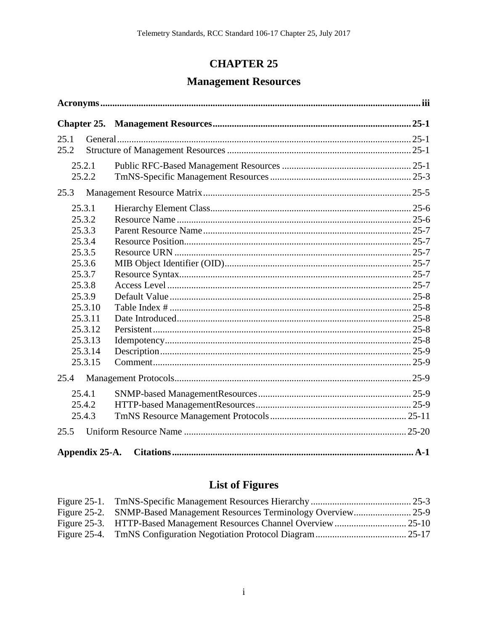## **CHAPTER 25**

# **Management Resources**

| 25.1 |                |  |  |  |
|------|----------------|--|--|--|
| 25.2 |                |  |  |  |
|      | 25.2.1         |  |  |  |
|      | 25.2.2         |  |  |  |
| 25.3 |                |  |  |  |
|      | 25.3.1         |  |  |  |
|      | 25.3.2         |  |  |  |
|      | 25.3.3         |  |  |  |
|      | 25.3.4         |  |  |  |
|      | 25.3.5         |  |  |  |
|      | 25.3.6         |  |  |  |
|      | 25.3.7         |  |  |  |
|      | 25.3.8         |  |  |  |
|      | 25.3.9         |  |  |  |
|      | 25.3.10        |  |  |  |
|      | 25.3.11        |  |  |  |
|      | 25.3.12        |  |  |  |
|      | 25.3.13        |  |  |  |
|      | 25.3.14        |  |  |  |
|      | 25.3.15        |  |  |  |
| 25.4 |                |  |  |  |
|      | 25.4.1         |  |  |  |
|      | 25.4.2         |  |  |  |
|      | 25.4.3         |  |  |  |
| 25.5 |                |  |  |  |
|      | Appendix 25-A. |  |  |  |

# **List of Figures**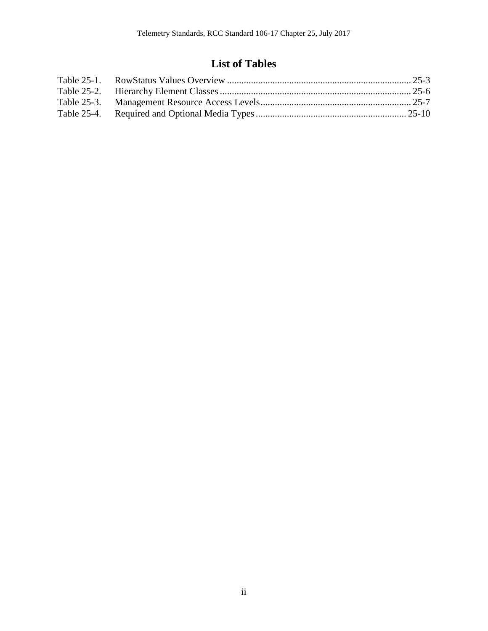# **List of Tables**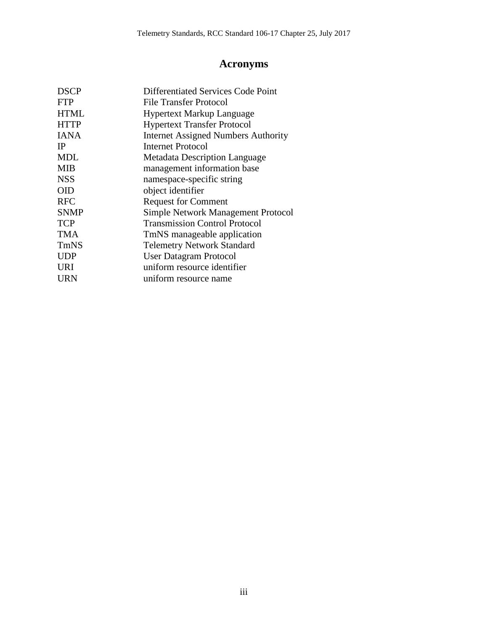# <span id="page-2-0"></span>**Acronyms**

| Differentiated Services Code Point         |
|--------------------------------------------|
| File Transfer Protocol                     |
| <b>Hypertext Markup Language</b>           |
| <b>Hypertext Transfer Protocol</b>         |
| <b>Internet Assigned Numbers Authority</b> |
| <b>Internet Protocol</b>                   |
| <b>Metadata Description Language</b>       |
| management information base                |
| namespace-specific string                  |
| object identifier                          |
| <b>Request for Comment</b>                 |
| Simple Network Management Protocol         |
| <b>Transmission Control Protocol</b>       |
| TmNS manageable application                |
| <b>Telemetry Network Standard</b>          |
| <b>User Datagram Protocol</b>              |
| uniform resource identifier                |
| uniform resource name                      |
|                                            |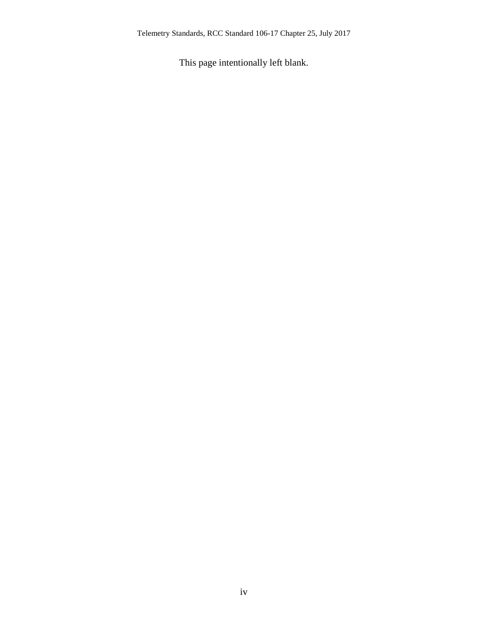This page intentionally left blank.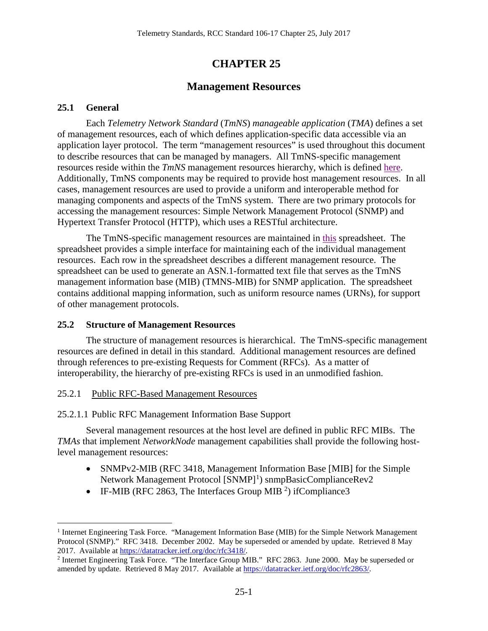## <span id="page-4-0"></span>**CHAPTER 25**

## **Management Resources**

#### <span id="page-4-1"></span>**25.1 General**

Each *Telemetry Network Standard* (*TmNS*) *manageable application* (*TMA*) defines a set of management resources, each of which defines application-specific data accessible via an application layer protocol. The term "management resources" is used throughout this document to describe resources that can be managed by managers. All TmNS-specific management resources reside within the *TmNS* management resources hierarchy, which is defined [here.](http://www.wsmr.army.mil/RCCsite/Documents/references/ManagementResourceMatrix.xlsx) Additionally, TmNS components may be required to provide host management resources. In all cases, management resources are used to provide a uniform and interoperable method for managing components and aspects of the TmNS system. There are two primary protocols for accessing the management resources: Simple Network Management Protocol (SNMP) and Hypertext Transfer Protocol (HTTP), which uses a RESTful architecture.

The TmNS-specific management resources are maintained in [this](http://www.wsmr.army.mil/RCCsite/Documents/references/ManagementResourceMatrix.xlsx) spreadsheet. The spreadsheet provides a simple interface for maintaining each of the individual management resources. Each row in the spreadsheet describes a different management resource. The spreadsheet can be used to generate an ASN.1-formatted text file that serves as the TmNS management information base (MIB) (TMNS-MIB) for SNMP application. The spreadsheet contains additional mapping information, such as uniform resource names (URNs), for support of other management protocols.

#### <span id="page-4-2"></span>**25.2 Structure of Management Resources**

The structure of management resources is hierarchical. The TmNS-specific management resources are defined in detail in this standard. Additional management resources are defined through references to pre-existing Requests for Comment (RFCs). As a matter of interoperability, the hierarchy of pre-existing RFCs is used in an unmodified fashion.

#### <span id="page-4-3"></span>25.2.1 Public RFC-Based Management Resources

25.2.1.1 Public RFC Management Information Base Support

Several management resources at the host level are defined in public RFC MIBs. The *TMAs* that implement *NetworkNode* management capabilities shall provide the following hostlevel management resources:

- SNMPv2-MIB (RFC 3418, Management Information Base [MIB] for the Simple Network Management Protocol [SNMP]<sup>[1](#page-4-4)</sup>) snmpBasicComplianceRev2
- IF-MIB (RFC [2](#page-4-5)863, The Interfaces Group MIB<sup>2</sup>) if Compliance 3

<span id="page-4-4"></span><sup>&</sup>lt;sup>1</sup> Internet Engineering Task Force. "Management Information Base (MIB) for the Simple Network Management Protocol (SNMP)." RFC 3418. December 2002. May be superseded or amended by update. Retrieved 8 May 2017. Available at [https://datatracker.ietf.org/doc/rfc3418/.](https://datatracker.ietf.org/doc/rfc3418/)

<span id="page-4-5"></span><sup>&</sup>lt;sup>2</sup> Internet Engineering Task Force. "The Interface Group MIB." RFC 2863. June 2000. May be superseded or amended by update. Retrieved 8 May 2017. Available a[t https://datatracker.ietf.org/doc/rfc2863/.](https://datatracker.ietf.org/doc/rfc2863/)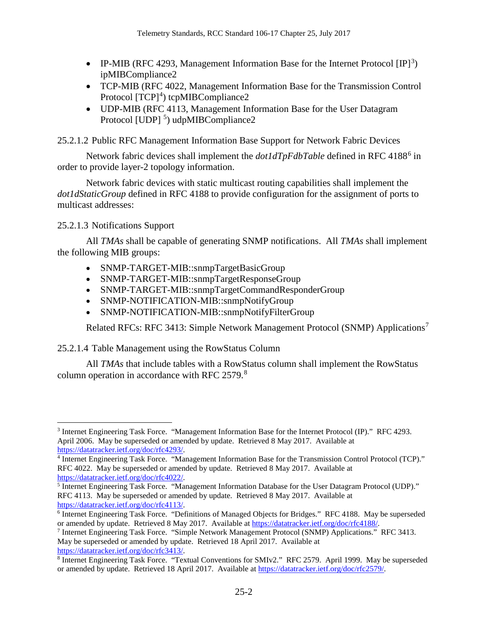- IP-MIB (RFC 429[3](#page-5-0), Management Information Base for the Internet Protocol  $[IP]^3$ ) ipMIBCompliance2
- TCP-MIB (RFC 4022, Management Information Base for the Transmission Control Protocol [TCP]<sup>[4](#page-5-1)</sup>) tcpMIBCompliance2
- UDP-MIB (RFC 4113, Management Information Base for the User Datagram Protocol [UDP]<sup>[5](#page-5-2)</sup>) udpMIBCompliance2

25.2.1.2 Public RFC Management Information Base Support for Network Fabric Devices

Network fabric devices shall implement the  $dotldTpFdbTable$  defined in RFC 4188<sup>[6](#page-5-3)</sup> in order to provide layer-2 topology information.

Network fabric devices with static multicast routing capabilities shall implement the *dot1dStaticGroup* defined in RFC 4188 to provide configuration for the assignment of ports to multicast addresses:

25.2.1.3 Notifications Support

All *TMAs* shall be capable of generating SNMP notifications. All *TMAs* shall implement the following MIB groups:

- SNMP-TARGET-MIB::snmpTargetBasicGroup
- SNMP-TARGET-MIB::snmpTargetResponseGroup
- SNMP-TARGET-MIB::snmpTargetCommandResponderGroup
- SNMP-NOTIFICATION-MIB::snmpNotifyGroup
- SNMP-NOTIFICATION-MIB::snmpNotifyFilterGroup

Related RFCs: RFC 3413: Simple Network Management Protocol (SNMP) Applications<sup>[7](#page-5-4)</sup>

25.2.1.4 Table Management using the RowStatus Column

All *TMAs* that include tables with a RowStatus column shall implement the RowStatus column operation in accordance with RFC 2579. [8](#page-5-5)

<span id="page-5-0"></span> <sup>3</sup> Internet Engineering Task Force. "Management Information Base for the Internet Protocol (IP)." RFC 4293. April 2006. May be superseded or amended by update. Retrieved 8 May 2017. Available at [https://datatracker.ietf.org/doc/rfc4293/.](https://datatracker.ietf.org/doc/rfc4293/)

<span id="page-5-1"></span><sup>4</sup> Internet Engineering Task Force. "Management Information Base for the Transmission Control Protocol (TCP)." RFC 4022. May be superseded or amended by update. Retrieved 8 May 2017. Available at [https://datatracker.ietf.org/doc/rfc4022/.](https://datatracker.ietf.org/doc/rfc4022/)

<span id="page-5-2"></span><sup>5</sup> Internet Engineering Task Force. "Management Information Database for the User Datagram Protocol (UDP)." RFC 4113. May be superseded or amended by update. Retrieved 8 May 2017. Available at [https://datatracker.ietf.org/doc/rfc4113/.](https://datatracker.ietf.org/doc/rfc4113/)

<span id="page-5-3"></span><sup>6</sup> Internet Engineering Task Force. "Definitions of Managed Objects for Bridges." RFC 4188. May be superseded or amended by update. Retrieved 8 May 2017. Available at [https://datatracker.ietf.org/doc/rfc4188/.](https://datatracker.ietf.org/doc/rfc4188/)

<span id="page-5-4"></span><sup>7</sup> Internet Engineering Task Force. "Simple Network Management Protocol (SNMP) Applications." RFC 3413. May be superseded or amended by update. Retrieved 18 April 2017. Available at [https://datatracker.ietf.org/doc/rfc3413/.](https://datatracker.ietf.org/doc/rfc3413/)

<span id="page-5-5"></span><sup>&</sup>lt;sup>8</sup> Internet Engineering Task Force. "Textual Conventions for SMIv2." RFC 2579. April 1999. May be superseded or amended by update. Retrieved 18 April 2017. Available at [https://datatracker.ietf.org/doc/rfc2579/.](https://datatracker.ietf.org/doc/rfc2579/)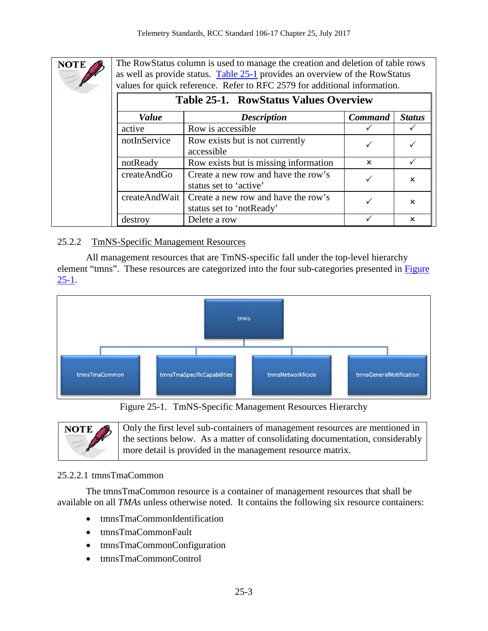<span id="page-6-2"></span>

| <b>NOTE</b> | The RowStatus column is used to manage the creation and deletion of table rows<br>as well as provide status. Table 25-1 provides an overview of the RowStatus<br>values for quick reference. Refer to RFC 2579 for additional information.<br><b>Table 25-1. RowStatus Values Overview</b> |                                                                 |                |               |
|-------------|--------------------------------------------------------------------------------------------------------------------------------------------------------------------------------------------------------------------------------------------------------------------------------------------|-----------------------------------------------------------------|----------------|---------------|
|             | <b>Value</b>                                                                                                                                                                                                                                                                               | <b>Description</b>                                              | <b>Command</b> | <b>Status</b> |
|             | active                                                                                                                                                                                                                                                                                     | Row is accessible                                               |                |               |
|             | notInService                                                                                                                                                                                                                                                                               | Row exists but is not currently<br>accessible                   |                |               |
|             | notReady                                                                                                                                                                                                                                                                                   | Row exists but is missing information                           | $\mathbf x$    |               |
|             | createAndGo                                                                                                                                                                                                                                                                                | Create a new row and have the row's<br>status set to 'active'   |                | $\mathbf x$   |
|             | createAndWait                                                                                                                                                                                                                                                                              | Create a new row and have the row's<br>status set to 'notReady' |                | $\mathbf x$   |
|             | destroy                                                                                                                                                                                                                                                                                    | Delete a row                                                    |                | $\mathbf x$   |

#### <span id="page-6-0"></span>25.2.2 TmNS-Specific Management Resources

All management resources that are TmNS-specific fall under the top-level hierarchy element "tmns". These resources are categorized into the four sub-categories presented in Figure [25-1.](#page-6-1)



Figure 25-1. TmNS-Specific Management Resources Hierarchy

<span id="page-6-1"></span>

Only the first level sub-containers of management resources are mentioned in the sections below. As a matter of consolidating documentation, considerably more detail is provided in the management resource matrix.

#### 25.2.2.1 tmnsTmaCommon

The tmnsTmaCommon resource is a container of management resources that shall be available on all *TMAs* unless otherwise noted. It contains the following six resource containers:

- tmnsTmaCommonIdentification
- tmnsTmaCommonFault
- tmnsTmaCommonConfiguration
- tmnsTmaCommonControl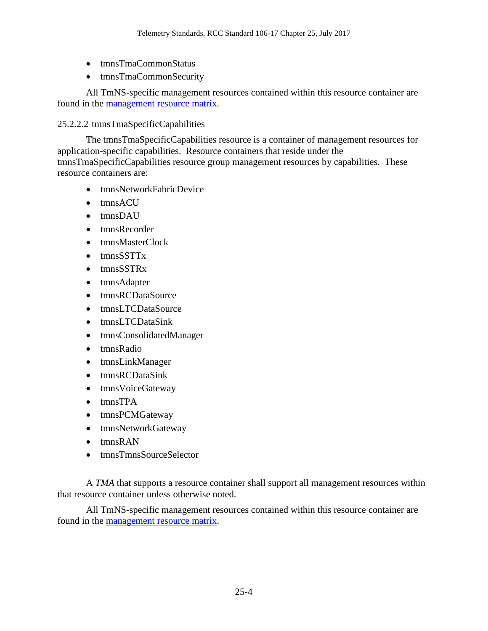- tmnsTmaCommonStatus
- tmnsTmaCommonSecurity

All TmNS-specific management resources contained within this resource container are found in the [management resource matrix.](http://www.wsmr.army.mil/RCCsite/Documents/references/ManagementResourceMatrix.xlsx)

### 25.2.2.2 tmnsTmaSpecificCapabilities

The tmnsTmaSpecificCapabilities resource is a container of management resources for application-specific capabilities. Resource containers that reside under the tmnsTmaSpecificCapabilities resource group management resources by capabilities. These resource containers are:

- tmnsNetworkFabricDevice
- tmnsACU
- tmnsDAU
- tmnsRecorder
- tmnsMasterClock
- tmnsSSTTx
- tmnsSSTRx
- tmnsAdapter
- tmnsRCDataSource
- tmnsLTCDataSource
- tmnsLTCDataSink
- tmnsConsolidatedManager
- tmnsRadio
- tmnsLinkManager
- tmnsRCDataSink
- tmnsVoiceGateway
- tmnsTPA
- tmnsPCMGateway
- tmnsNetworkGateway
- tmnsRAN
- tmnsTmnsSourceSelector

A *TMA* that supports a resource container shall support all management resources within that resource container unless otherwise noted.

All TmNS-specific management resources contained within this resource container are found in the [management resource matrix.](http://www.wsmr.army.mil/RCCsite/Documents/references/ManagementResourceMatrix.xlsx)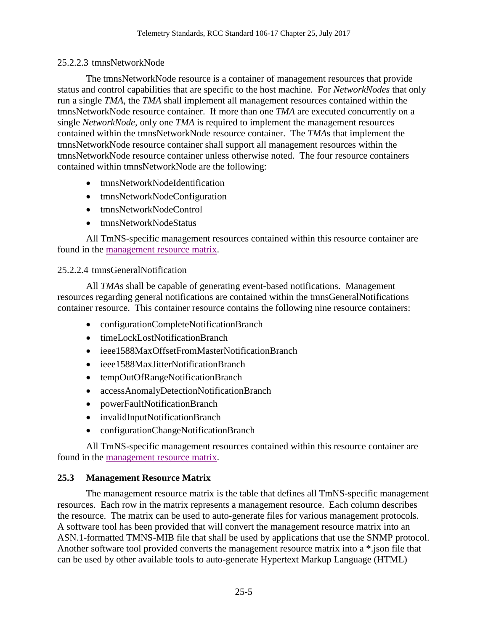#### 25.2.2.3 tmnsNetworkNode

The tmnsNetworkNode resource is a container of management resources that provide status and control capabilities that are specific to the host machine. For *NetworkNodes* that only run a single *TMA*, the *TMA* shall implement all management resources contained within the tmnsNetworkNode resource container. If more than one *TMA* are executed concurrently on a single *NetworkNode*, only one *TMA* is required to implement the management resources contained within the tmnsNetworkNode resource container. The *TMA*s that implement the tmnsNetworkNode resource container shall support all management resources within the tmnsNetworkNode resource container unless otherwise noted. The four resource containers contained within tmnsNetworkNode are the following:

- tmnsNetworkNodeIdentification
- tmnsNetworkNodeConfiguration
- tmnsNetworkNodeControl
- tmnsNetworkNodeStatus

All TmNS-specific management resources contained within this resource container are found in the [management resource matrix.](http://www.wsmr.army.mil/RCCsite/Documents/references/ManagementResourceMatrix.xlsx)

#### 25.2.2.4 tmnsGeneralNotification

All *TMA*s shall be capable of generating event-based notifications. Management resources regarding general notifications are contained within the tmnsGeneralNotifications container resource. This container resource contains the following nine resource containers:

- configurationCompleteNotificationBranch
- timeLockLostNotificationBranch
- ieee1588MaxOffsetFromMasterNotificationBranch
- ieee1588MaxJitterNotificationBranch
- tempOutOfRangeNotificationBranch
- accessAnomalyDetectionNotificationBranch
- powerFaultNotificationBranch
- invalidInputNotificationBranch
- configurationChangeNotificationBranch

All TmNS-specific management resources contained within this resource container are found in the [management resource matrix.](http://www.wsmr.army.mil/RCCsite/Documents/references/ManagementResourceMatrix.xlsx)

#### <span id="page-8-0"></span>**25.3 Management Resource Matrix**

The management resource matrix is the table that defines all TmNS-specific management resources. Each row in the matrix represents a management resource. Each column describes the resource. The matrix can be used to auto-generate files for various management protocols. A software tool has been provided that will convert the management resource matrix into an ASN.1-formatted TMNS-MIB file that shall be used by applications that use the SNMP protocol. Another software tool provided converts the management resource matrix into a \*.json file that can be used by other available tools to auto-generate Hypertext Markup Language (HTML)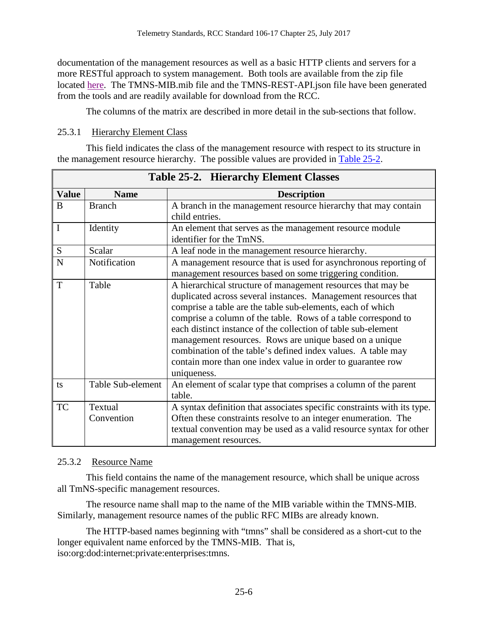documentation of the management resources as well as a basic HTTP clients and servers for a more RESTful approach to system management. Both tools are available from the zip file located [here.](http://www.wsmr.army.mil/RCCsite/Documents/references/MRM_Tools.zip) The TMNS-MIB.mib file and the TMNS-REST-API.json file have been generated from the tools and are readily available for download from the RCC.

The columns of the matrix are described in more detail in the sub-sections that follow.

#### <span id="page-9-0"></span>25.3.1 Hierarchy Element Class

This field indicates the class of the management resource with respect to its structure in the management resource hierarchy. The possible values are provided in [Table 25-2.](#page-9-2)

<span id="page-9-2"></span>

|              | <b>Table 25-2. Hierarchy Element Classes</b> |                                                                                                                                                                                                                                                                                                                                                                                                                                                                                                                                         |  |  |  |
|--------------|----------------------------------------------|-----------------------------------------------------------------------------------------------------------------------------------------------------------------------------------------------------------------------------------------------------------------------------------------------------------------------------------------------------------------------------------------------------------------------------------------------------------------------------------------------------------------------------------------|--|--|--|
| <b>Value</b> | <b>Name</b>                                  | <b>Description</b>                                                                                                                                                                                                                                                                                                                                                                                                                                                                                                                      |  |  |  |
| B            | <b>Branch</b>                                | A branch in the management resource hierarchy that may contain<br>child entries.                                                                                                                                                                                                                                                                                                                                                                                                                                                        |  |  |  |
| $\mathbf I$  | Identity                                     | An element that serves as the management resource module<br>identifier for the TmNS.                                                                                                                                                                                                                                                                                                                                                                                                                                                    |  |  |  |
| S            | Scalar                                       | A leaf node in the management resource hierarchy.                                                                                                                                                                                                                                                                                                                                                                                                                                                                                       |  |  |  |
| $\mathbf N$  | Notification                                 | A management resource that is used for asynchronous reporting of<br>management resources based on some triggering condition.                                                                                                                                                                                                                                                                                                                                                                                                            |  |  |  |
| T            | Table                                        | A hierarchical structure of management resources that may be<br>duplicated across several instances. Management resources that<br>comprise a table are the table sub-elements, each of which<br>comprise a column of the table. Rows of a table correspond to<br>each distinct instance of the collection of table sub-element<br>management resources. Rows are unique based on a unique<br>combination of the table's defined index values. A table may<br>contain more than one index value in order to guarantee row<br>uniqueness. |  |  |  |
| ts           | Table Sub-element                            | An element of scalar type that comprises a column of the parent<br>table.                                                                                                                                                                                                                                                                                                                                                                                                                                                               |  |  |  |
| <b>TC</b>    | Textual<br>Convention                        | A syntax definition that associates specific constraints with its type.<br>Often these constraints resolve to an integer enumeration. The<br>textual convention may be used as a valid resource syntax for other<br>management resources.                                                                                                                                                                                                                                                                                               |  |  |  |

#### <span id="page-9-1"></span>25.3.2 Resource Name

This field contains the name of the management resource, which shall be unique across all TmNS-specific management resources.

The resource name shall map to the name of the MIB variable within the TMNS-MIB. Similarly, management resource names of the public RFC MIBs are already known.

The HTTP-based names beginning with "tmns" shall be considered as a short-cut to the longer equivalent name enforced by the TMNS-MIB. That is, iso:org:dod:internet:private:enterprises:tmns.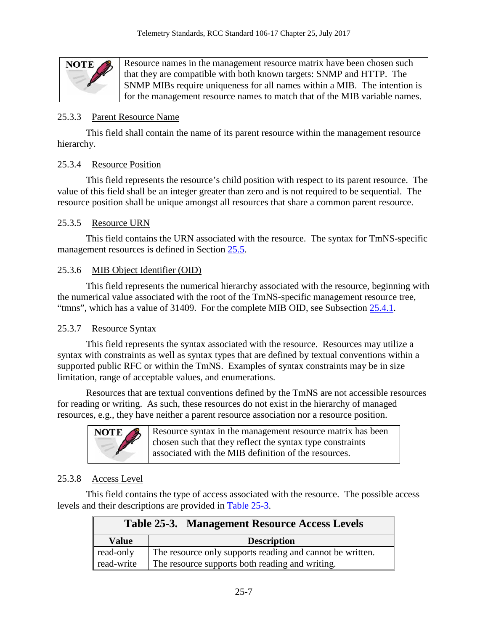

Resource names in the management resource matrix have been chosen such that they are compatible with both known targets: SNMP and HTTP. The SNMP MIBs require uniqueness for all names within a MIB. The intention is for the management resource names to match that of the MIB variable names.

### <span id="page-10-0"></span>25.3.3 Parent Resource Name

This field shall contain the name of its parent resource within the management resource hierarchy.

#### <span id="page-10-1"></span>25.3.4 Resource Position

This field represents the resource's child position with respect to its parent resource. The value of this field shall be an integer greater than zero and is not required to be sequential. The resource position shall be unique amongst all resources that share a common parent resource.

#### <span id="page-10-2"></span>25.3.5 Resource URN

This field contains the URN associated with the resource. The syntax for TmNS-specific management resources is defined in Section [25.5.](#page-23-0)

#### <span id="page-10-3"></span>25.3.6 MIB Object Identifier (OID)

This field represents the numerical hierarchy associated with the resource, beginning with the numerical value associated with the root of the TmNS-specific management resource tree, "tmns", which has a value of 31409. For the complete MIB OID, see Subsection [25.4.1.](#page-12-3)

#### <span id="page-10-4"></span>25.3.7 Resource Syntax

This field represents the syntax associated with the resource. Resources may utilize a syntax with constraints as well as syntax types that are defined by textual conventions within a supported public RFC or within the TmNS. Examples of syntax constraints may be in size limitation, range of acceptable values, and enumerations.

Resources that are textual conventions defined by the TmNS are not accessible resources for reading or writing. As such, these resources do not exist in the hierarchy of managed resources, e.g., they have neither a parent resource association nor a resource position.



Resource syntax in the management resource matrix has been chosen such that they reflect the syntax type constraints associated with the MIB definition of the resources.

#### <span id="page-10-5"></span>25.3.8 Access Level

This field contains the type of access associated with the resource. The possible access levels and their descriptions are provided in [Table 25-3.](#page-10-6)

<span id="page-10-6"></span>

|                                    | Table 25-3. Management Resource Access Levels             |  |
|------------------------------------|-----------------------------------------------------------|--|
| <b>Value</b><br><b>Description</b> |                                                           |  |
| read-only                          | The resource only supports reading and cannot be written. |  |
| read-write                         | The resource supports both reading and writing.           |  |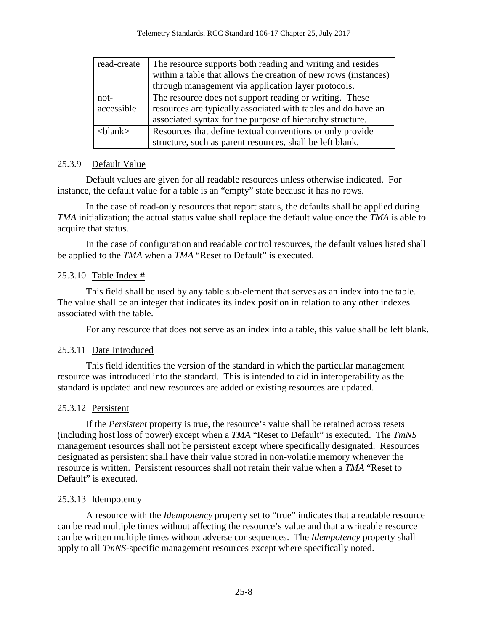| read-create               | The resource supports both reading and writing and resides      |  |
|---------------------------|-----------------------------------------------------------------|--|
|                           | within a table that allows the creation of new rows (instances) |  |
|                           | through management via application layer protocols.             |  |
| not-                      | The resource does not support reading or writing. These         |  |
| accessible                | resources are typically associated with tables and do have an   |  |
|                           | associated syntax for the purpose of hierarchy structure.       |  |
| $\langle$ blank $\rangle$ | Resources that define textual conventions or only provide       |  |
|                           | structure, such as parent resources, shall be left blank.       |  |

#### <span id="page-11-0"></span>25.3.9 Default Value

Default values are given for all readable resources unless otherwise indicated. For instance, the default value for a table is an "empty" state because it has no rows.

In the case of read-only resources that report status, the defaults shall be applied during *TMA* initialization; the actual status value shall replace the default value once the *TMA* is able to acquire that status.

In the case of configuration and readable control resources, the default values listed shall be applied to the *TMA* when a *TMA* "Reset to Default" is executed.

#### <span id="page-11-1"></span>25.3.10 Table Index #

This field shall be used by any table sub-element that serves as an index into the table. The value shall be an integer that indicates its index position in relation to any other indexes associated with the table.

For any resource that does not serve as an index into a table, this value shall be left blank.

#### <span id="page-11-2"></span>25.3.11 Date Introduced

This field identifies the version of the standard in which the particular management resource was introduced into the standard. This is intended to aid in interoperability as the standard is updated and new resources are added or existing resources are updated.

#### <span id="page-11-3"></span>25.3.12 Persistent

If the *Persistent* property is true, the resource's value shall be retained across resets (including host loss of power) except when a *TMA* "Reset to Default" is executed. The *TmNS* management resources shall not be persistent except where specifically designated. Resources designated as persistent shall have their value stored in non-volatile memory whenever the resource is written. Persistent resources shall not retain their value when a *TMA* "Reset to Default" is executed.

#### <span id="page-11-4"></span>25.3.13 Idempotency

A resource with the *Idempotency* property set to "true" indicates that a readable resource can be read multiple times without affecting the resource's value and that a writeable resource can be written multiple times without adverse consequences. The *Idempotency* property shall apply to all *TmNS*-specific management resources except where specifically noted.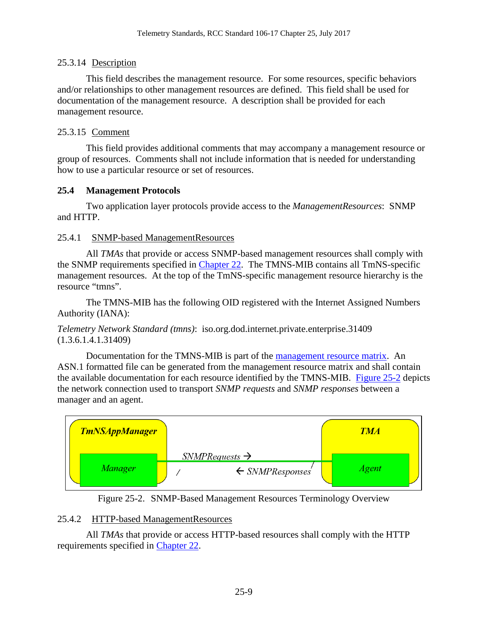#### <span id="page-12-0"></span>25.3.14 Description

This field describes the management resource. For some resources, specific behaviors and/or relationships to other management resources are defined. This field shall be used for documentation of the management resource. A description shall be provided for each management resource.

## <span id="page-12-1"></span>25.3.15 Comment

This field provides additional comments that may accompany a management resource or group of resources. Comments shall not include information that is needed for understanding how to use a particular resource or set of resources.

### <span id="page-12-2"></span>**25.4 Management Protocols**

Two application layer protocols provide access to the *ManagementResources*: SNMP and HTTP.

### <span id="page-12-3"></span>25.4.1 SNMP-based ManagementResources

All *TMAs* that provide or access SNMP-based management resources shall comply with the SNMP requirements specified in [Chapter 22.](http://www.wsmr.army.mil/RCCsite/Documents/106-17_Telemetry_Standards/Chapter22.pdf) The TMNS-MIB contains all TmNS-specific management resources. At the top of the TmNS-specific management resource hierarchy is the resource "tmns".

The TMNS-MIB has the following OID registered with the Internet Assigned Numbers Authority (IANA):

#### *Telemetry Network Standard (tmns)*: iso.org.dod.internet.private.enterprise.31409 (1.3.6.1.4.1.31409)

Documentation for the TMNS-MIB is part of the [management resource matrix.](http://www.wsmr.army.mil/RCCsite/Documents/references/ManagementResourceMatrix.xlsx) An ASN.1 formatted file can be generated from the management resource matrix and shall contain the available documentation for each resource identified by the TMNS-MIB. [Figure 25-2](#page-12-5) depicts the network connection used to transport *SNMP requests* and *SNMP responses* between a manager and an agent.





## <span id="page-12-5"></span><span id="page-12-4"></span>25.4.2 HTTP-based ManagementResources

All *TMAs* that provide or access HTTP-based resources shall comply with the HTTP requirements specified in [Chapter 22.](http://www.wsmr.army.mil/RCCsite/Documents/106-17_Telemetry_Standards/Chapter22.pdf)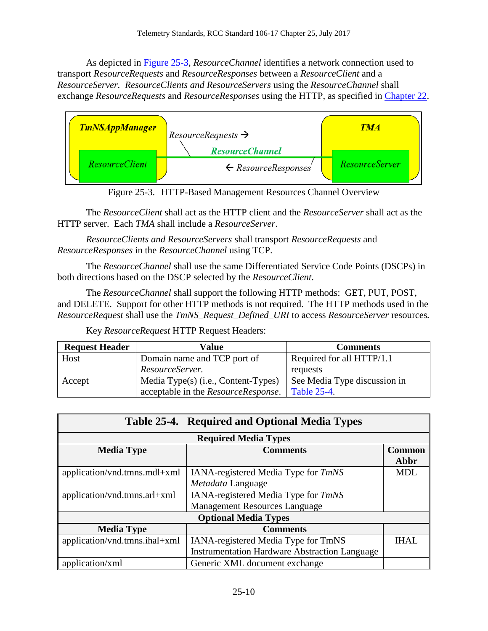As depicted in [Figure 25-3,](#page-13-0) *ResourceChannel* identifies a network connection used to transport *ResourceRequests* and *ResourceResponses* between a *ResourceClient* and a *ResourceServer. ResourceClients and ResourceServers* using the *ResourceChannel* shall exchange *ResourceRequests* and *ResourceResponses* using the HTTP, as specified in [Chapter 22.](http://www.wsmr.army.mil/RCCsite/Documents/106-17_Telemetry_Standards/Chapter22.pdf)



Figure 25-3. HTTP-Based Management Resources Channel Overview

<span id="page-13-0"></span>The *ResourceClient* shall act as the HTTP client and the *ResourceServer* shall act as the HTTP server. Each *TMA* shall include a *ResourceServer*.

*ResourceClients and ResourceServers* shall transport *ResourceRequests* and *ResourceResponses* in the *ResourceChannel* using TCP.

The *ResourceChannel* shall use the same Differentiated Service Code Points (DSCPs) in both directions based on the DSCP selected by the *ResourceClient*.

The *ResourceChannel* shall support the following HTTP methods: GET, PUT, POST, and DELETE. Support for other HTTP methods is not required. The HTTP methods used in the *ResourceRequest* shall use the *TmNS\_Request\_Defined\_URI* to access *ResourceServer* resources*.*

Key *ResourceRequest* HTTP Request Headers:

| <b>Request Header</b> | Value                               | <b>Comments</b>              |
|-----------------------|-------------------------------------|------------------------------|
| Host                  | Domain name and TCP port of         | Required for all HTTP/1.1    |
|                       | ResourceServer.                     | requests                     |
| Accept                | Media Type(s) (i.e., Content-Types) | See Media Type discussion in |
|                       | acceptable in the ResourceResponse. | <b>Table 25-4.</b>           |

<span id="page-13-1"></span>

| Table 25-4. Required and Optional Media Types |                                                      |               |  |
|-----------------------------------------------|------------------------------------------------------|---------------|--|
|                                               | <b>Required Media Types</b>                          |               |  |
| <b>Media Type</b>                             | <b>Comments</b>                                      | <b>Common</b> |  |
|                                               |                                                      | Abbr          |  |
| application/vnd.tmns.mdl+xml                  | IANA-registered Media Type for TmNS                  | <b>MDL</b>    |  |
|                                               | Metadata Language                                    |               |  |
| application/vnd.tmns.arl+xml                  | IANA-registered Media Type for TmNS                  |               |  |
|                                               | <b>Management Resources Language</b>                 |               |  |
| <b>Optional Media Types</b>                   |                                                      |               |  |
| <b>Media Type</b><br><b>Comments</b>          |                                                      |               |  |
| application/vnd.tmns.ihal+xml                 | IANA-registered Media Type for TmNS                  | <b>IHAL</b>   |  |
|                                               | <b>Instrumentation Hardware Abstraction Language</b> |               |  |
| application/xml                               | Generic XML document exchange                        |               |  |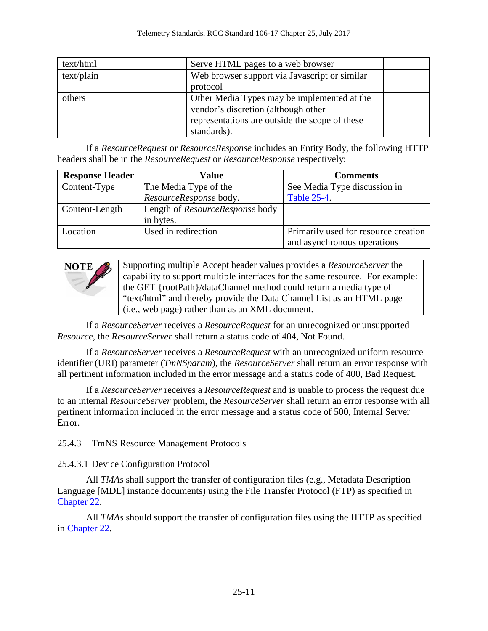| text/html  | Serve HTML pages to a web browser              |  |
|------------|------------------------------------------------|--|
| text/plain | Web browser support via Javascript or similar  |  |
|            | protocol                                       |  |
| others     | Other Media Types may be implemented at the    |  |
|            | vendor's discretion (although other            |  |
|            | representations are outside the scope of these |  |
|            | standards).                                    |  |

If a *ResourceRequest* or *ResourceResponse* includes an Entity Body, the following HTTP headers shall be in the *ResourceRequest* or *ResourceResponse* respectively:

| <b>Response Header</b> | Value                           | <b>Comments</b>                      |
|------------------------|---------------------------------|--------------------------------------|
| Content-Type           | The Media Type of the           | See Media Type discussion in         |
|                        | ResourceResponse body.          | Table 25-4.                          |
| Content-Length         | Length of ResourceResponse body |                                      |
|                        | in bytes.                       |                                      |
| Location               | Used in redirection             | Primarily used for resource creation |
|                        |                                 | and asynchronous operations          |

| NOTE <sub>8</sub> | Supporting multiple Accept header values provides a ResourceServer the        |
|-------------------|-------------------------------------------------------------------------------|
| <b>Sold</b>       | capability to support multiple interfaces for the same resource. For example: |
|                   | the GET {rootPath}/dataChannel method could return a media type of            |
|                   | "text/html" and thereby provide the Data Channel List as an HTML page         |
|                   | (i.e., web page) rather than as an XML document.                              |

If a *ResourceServer* receives a *ResourceRequest* for an unrecognized or unsupported *Resource*, the *ResourceServer* shall return a status code of 404, Not Found.

If a *ResourceServer* receives a *ResourceRequest* with an unrecognized uniform resource identifier (URI) parameter (*TmNSparam*), the *ResourceServer* shall return an error response with all pertinent information included in the error message and a status code of 400, Bad Request.

If a *ResourceServer* receives a *ResourceRequest* and is unable to process the request due to an internal *ResourceServer* problem, the *ResourceServer* shall return an error response with all pertinent information included in the error message and a status code of 500, Internal Server Error.

<span id="page-14-0"></span>25.4.3 TmNS Resource Management Protocols

25.4.3.1 Device Configuration Protocol

All *TMAs* shall support the transfer of configuration files (e.g., Metadata Description Language [MDL] instance documents) using the File Transfer Protocol (FTP) as specified in [Chapter 22.](http://www.wsmr.army.mil/RCCsite/Documents/106-17_Telemetry_Standards/Chapter22.pdf)

All *TMAs* should support the transfer of configuration files using the HTTP as specified in [Chapter 22.](http://www.wsmr.army.mil/RCCsite/Documents/106-17_Telemetry_Standards/Chapter22.pdf)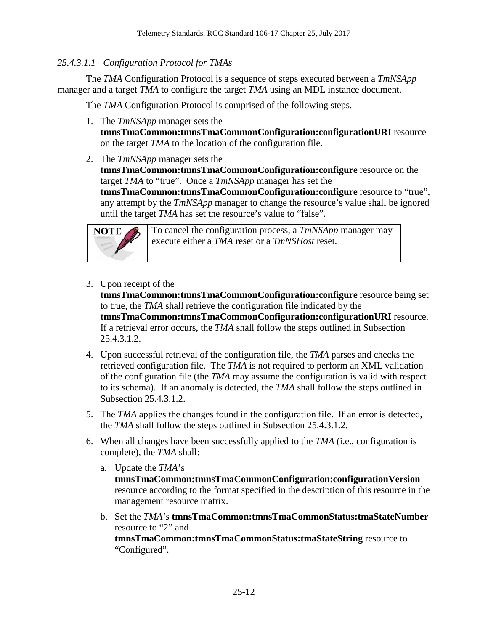## <span id="page-15-0"></span>*25.4.3.1.1 Configuration Protocol for TMAs*

The *TMA* Configuration Protocol is a sequence of steps executed between a *TmNSApp* manager and a target *TMA* to configure the target *TMA* using an MDL instance document.

The *TMA* Configuration Protocol is comprised of the following steps.

- 1. The *TmNSApp* manager sets the **tmnsTmaCommon:tmnsTmaCommonConfiguration:configurationURI** resource on the target *TMA* to the location of the configuration file.
- 2. The *TmNSApp* manager sets the

**tmnsTmaCommon:tmnsTmaCommonConfiguration:configure** resource on the target *TMA* to "true". Once a *TmNSApp* manager has set the

**tmnsTmaCommon:tmnsTmaCommonConfiguration:configure** resource to "true", any attempt by the *TmNSApp* manager to change the resource's value shall be ignored until the target *TMA* has set the resource's value to "false".



To cancel the configuration process, a *TmNSApp* manager may execute either a *TMA* reset or a *TmNSHost* reset.

3. Upon receipt of the

**tmnsTmaCommon:tmnsTmaCommonConfiguration:configure** resource being set to true, the *TMA* shall retrieve the configuration file indicated by the **tmnsTmaCommon:tmnsTmaCommonConfiguration:configurationURI** resource. If a retrieval error occurs, the *TMA* shall follow the steps outlined in Subsection [25.4.3.1.2.](#page-16-0)

- 4. Upon successful retrieval of the configuration file, the *TMA* parses and checks the retrieved configuration file. The *TMA* is not required to perform an XML validation of the configuration file (the *TMA* may assume the configuration is valid with respect to its schema). If an anomaly is detected, the *TMA* shall follow the steps outlined in Subsection [25.4.3.1.2.](#page-16-0)
- 5. The *TMA* applies the changes found in the configuration file. If an error is detected, the *TMA* shall follow the steps outlined in Subsection [25.4.3.1.2.](#page-16-0)
- 6. When all changes have been successfully applied to the *TMA* (i.e., configuration is complete), the *TMA* shall:
	- a. Update the *TMA*'s **tmnsTmaCommon:tmnsTmaCommonConfiguration:configurationVersion** resource according to the format specified in the description of this resource in the management resource matrix.
	- b. Set the *TMA's* **tmnsTmaCommon:tmnsTmaCommonStatus:tmaStateNumber** resource to "2" and **tmnsTmaCommon:tmnsTmaCommonStatus:tmaStateString** resource to "Configured".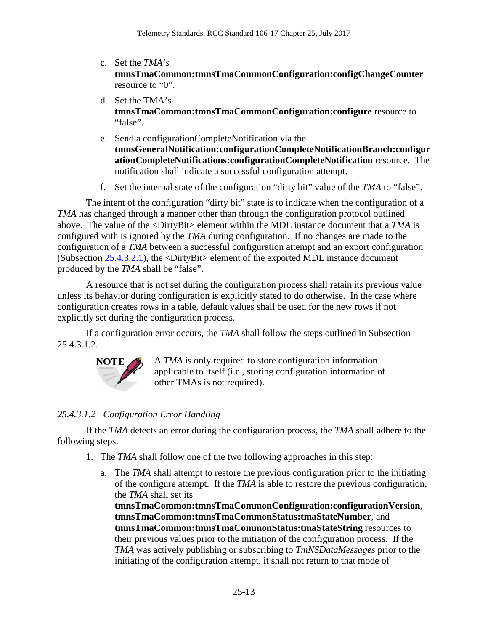- c. Set the *TMA's*  **tmnsTmaCommon:tmnsTmaCommonConfiguration:configChangeCounter** resource to "0".
- d. Set the TMA's **tmnsTmaCommon:tmnsTmaCommonConfiguration:configure** resource to "false".
- e. Send a configurationCompleteNotification via the **tmnsGeneralNotification:configurationCompleteNotificationBranch:configur ationCompleteNotifications:configurationCompleteNotification** resource. The notification shall indicate a successful configuration attempt.
- f. Set the internal state of the configuration "dirty bit" value of the *TMA* to "false".

The intent of the configuration "dirty bit" state is to indicate when the configuration of a *TMA* has changed through a manner other than through the configuration protocol outlined above. The value of the <DirtyBit> element within the MDL instance document that a *TMA* is configured with is ignored by the *TMA* during configuration. If no changes are made to the configuration of a *TMA* between a successful configuration attempt and an export configuration (Subsection [25.4.3.2.1\)](#page-18-0), the <DirtyBit> element of the exported MDL instance document produced by the *TMA* shall be "false".

A resource that is not set during the configuration process shall retain its previous value unless its behavior during configuration is explicitly stated to do otherwise. In the case where configuration creates rows in a table, default values shall be used for the new rows if not explicitly set during the configuration process.

If a configuration error occurs, the *TMA* shall follow the steps outlined in Subsection [25.4.3.1.2.](#page-16-0)



A *TMA* is only required to store configuration information applicable to itself (i.e., storing configuration information of other TMAs is not required).

## <span id="page-16-0"></span>*25.4.3.1.2 Configuration Error Handling*

If the *TMA* detects an error during the configuration process, the *TMA* shall adhere to the following steps.

- 1. The *TMA* shall follow one of the two following approaches in this step:
	- a. The *TMA* shall attempt to restore the previous configuration prior to the initiating of the configure attempt. If the *TMA* is able to restore the previous configuration, the *TMA* shall set its

**tmnsTmaCommon:tmnsTmaCommonConfiguration:configurationVersion**, **tmnsTmaCommon:tmnsTmaCommonStatus:tmaStateNumber**, and **tmnsTmaCommon:tmnsTmaCommonStatus:tmaStateString** resources to their previous values prior to the initiation of the configuration process. If the *TMA* was actively publishing or subscribing to *TmNSDataMessages* prior to the initiating of the configuration attempt, it shall not return to that mode of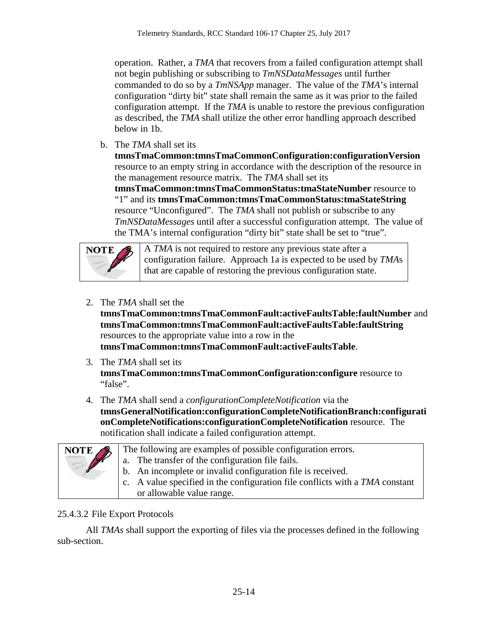operation. Rather, a *TMA* that recovers from a failed configuration attempt shall not begin publishing or subscribing to *TmNSDataMessages* until further commanded to do so by a *TmNSApp* manager. The value of the *TMA*'s internal configuration "dirty bit" state shall remain the same as it was prior to the failed configuration attempt. If the *TMA* is unable to restore the previous configuration as described, the *TMA* shall utilize the other error handling approach described below in 1b.

b. The *TMA* shall set its

**tmnsTmaCommon:tmnsTmaCommonConfiguration:configurationVersion** resource to an empty string in accordance with the description of the resource in the management resource matrix. The *TMA* shall set its

**tmnsTmaCommon:tmnsTmaCommonStatus:tmaStateNumber** resource to "1" and its **tmnsTmaCommon:tmnsTmaCommonStatus:tmaStateString**  resource "Unconfigured". The *TMA* shall not publish or subscribe to any *TmNSDataMessages* until after a successful configuration attempt. The value of the TMA's internal configuration "dirty bit" state shall be set to "true".



A *TMA* is not required to restore any previous state after a configuration failure. Approach 1a is expected to be used by *TMA*s that are capable of restoring the previous configuration state.

- 2. The *TMA* shall set the
	- **tmnsTmaCommon:tmnsTmaCommonFault:activeFaultsTable:faultNumber** and **tmnsTmaCommon:tmnsTmaCommonFault:activeFaultsTable:faultString** resources to the appropriate value into a row in the **tmnsTmaCommon:tmnsTmaCommonFault:activeFaultsTable**.
- 3. The *TMA* shall set its **tmnsTmaCommon:tmnsTmaCommonConfiguration:configure** resource to "false".
- 4. The *TMA* shall send a *configurationCompleteNotification* via the **tmnsGeneralNotification:configurationCompleteNotificationBranch:configurati onCompleteNotifications:configurationCompleteNotification** resource. The notification shall indicate a failed configuration attempt.

| NOTE <sub>8</sub> | The following are examples of possible configuration errors.                 |
|-------------------|------------------------------------------------------------------------------|
| <b>SALE</b>       | a. The transfer of the configuration file fails.                             |
|                   | b. An incomplete or invalid configuration file is received.                  |
|                   | c. A value specified in the configuration file conflicts with a TMA constant |
|                   | or allowable value range.                                                    |

## 25.4.3.2 File Export Protocols

All *TMAs* shall support the exporting of files via the processes defined in the following sub-section.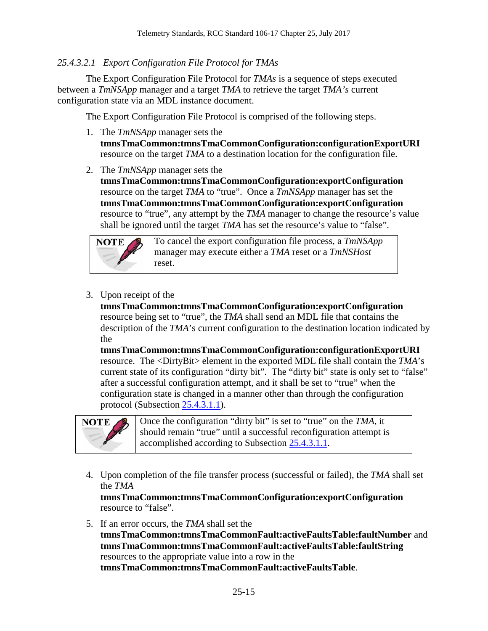### <span id="page-18-0"></span>*25.4.3.2.1 Export Configuration File Protocol for TMAs*

The Export Configuration File Protocol for *TMAs* is a sequence of steps executed between a *TmNSApp* manager and a target *TMA* to retrieve the target *TMA's* current configuration state via an MDL instance document.

The Export Configuration File Protocol is comprised of the following steps.

- 1. The *TmNSApp* manager sets the **tmnsTmaCommon:tmnsTmaCommonConfiguration:configurationExportURI** resource on the target *TMA* to a destination location for the configuration file.
- 2. The *TmNSApp* manager sets the
	- **tmnsTmaCommon:tmnsTmaCommonConfiguration:exportConfiguration** resource on the target *TMA* to "true". Once a *TmNSApp* manager has set the **tmnsTmaCommon:tmnsTmaCommonConfiguration:exportConfiguration** resource to "true", any attempt by the *TMA* manager to change the resource's value shall be ignored until the target *TMA* has set the resource's value to "false".



To cancel the export configuration file process, a *TmNSApp* manager may execute either a *TMA* reset or a *TmNSHost* reset.

#### 3. Upon receipt of the

**tmnsTmaCommon:tmnsTmaCommonConfiguration:exportConfiguration** resource being set to "true", the *TMA* shall send an MDL file that contains the description of the *TMA*'s current configuration to the destination location indicated by the

**tmnsTmaCommon:tmnsTmaCommonConfiguration:configurationExportURI** resource. The <DirtyBit> element in the exported MDL file shall contain the *TMA*'s current state of its configuration "dirty bit". The "dirty bit" state is only set to "false" after a successful configuration attempt, and it shall be set to "true" when the configuration state is changed in a manner other than through the configuration protocol (Subsection [25.4.3.1.1\)](#page-15-0).



Once the configuration "dirty bit" is set to "true" on the *TMA*, it should remain "true" until a successful reconfiguration attempt is accomplished according to Subsection [25.4.3.1.1.](#page-15-0)

4. Upon completion of the file transfer process (successful or failed), the *TMA* shall set the *TMA*

**tmnsTmaCommon:tmnsTmaCommonConfiguration:exportConfiguration** resource to "false".

5. If an error occurs, the *TMA* shall set the **tmnsTmaCommon:tmnsTmaCommonFault:activeFaultsTable:faultNumber** and **tmnsTmaCommon:tmnsTmaCommonFault:activeFaultsTable:faultString** resources to the appropriate value into a row in the **tmnsTmaCommon:tmnsTmaCommonFault:activeFaultsTable**.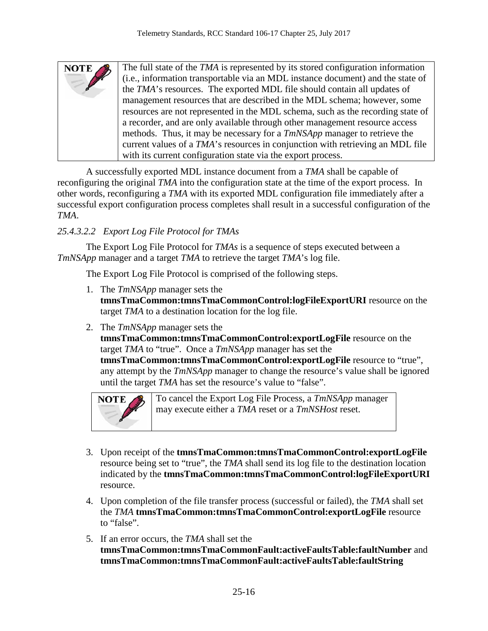| <b>NOTE</b> | The full state of the <i>TMA</i> is represented by its stored configuration information |
|-------------|-----------------------------------------------------------------------------------------|
|             | (i.e., information transportable via an MDL instance document) and the state of         |
|             | the TMA's resources. The exported MDL file should contain all updates of                |
|             | management resources that are described in the MDL schema; however, some                |
|             | resources are not represented in the MDL schema, such as the recording state of         |
|             | a recorder, and are only available through other management resource access             |
|             | methods. Thus, it may be necessary for a <i>TmNSApp</i> manager to retrieve the         |
|             | current values of a <i>TMA</i> 's resources in conjunction with retrieving an MDL file  |
|             | with its current configuration state via the export process.                            |

A successfully exported MDL instance document from a *TMA* shall be capable of reconfiguring the original *TMA* into the configuration state at the time of the export process. In other words, reconfiguring a *TMA* with its exported MDL configuration file immediately after a successful export configuration process completes shall result in a successful configuration of the *TMA*.

## *25.4.3.2.2 Export Log File Protocol for TMAs*

The Export Log File Protocol for *TMAs* is a sequence of steps executed between a *TmNSApp* manager and a target *TMA* to retrieve the target *TMA*'s log file.

The Export Log File Protocol is comprised of the following steps.

1. The *TmNSApp* manager sets the

**tmnsTmaCommon:tmnsTmaCommonControl:logFileExportURI** resource on the target *TMA* to a destination location for the log file.

2. The *TmNSApp* manager sets the

**tmnsTmaCommon:tmnsTmaCommonControl:exportLogFile** resource on the target *TMA* to "true". Once a *TmNSApp* manager has set the

**tmnsTmaCommon:tmnsTmaCommonControl:exportLogFile** resource to "true", any attempt by the *TmNSApp* manager to change the resource's value shall be ignored until the target *TMA* has set the resource's value to "false".



To cancel the Export Log File Process, a *TmNSApp* manager may execute either a *TMA* reset or a *TmNSHost* reset.

- 3. Upon receipt of the **tmnsTmaCommon:tmnsTmaCommonControl:exportLogFile** resource being set to "true", the *TMA* shall send its log file to the destination location indicated by the **tmnsTmaCommon:tmnsTmaCommonControl:logFileExportURI** resource.
- 4. Upon completion of the file transfer process (successful or failed), the *TMA* shall set the *TMA* **tmnsTmaCommon:tmnsTmaCommonControl:exportLogFile** resource to "false".
- 5. If an error occurs, the *TMA* shall set the **tmnsTmaCommon:tmnsTmaCommonFault:activeFaultsTable:faultNumber** and **tmnsTmaCommon:tmnsTmaCommonFault:activeFaultsTable:faultString**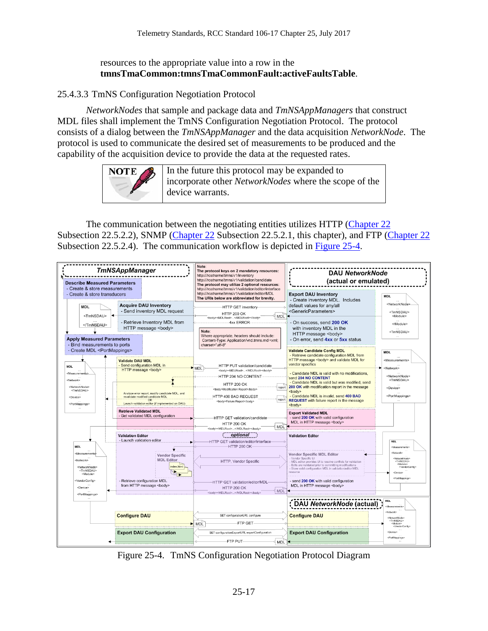#### resources to the appropriate value into a row in the **tmnsTmaCommon:tmnsTmaCommonFault:activeFaultsTable**.

#### 25.4.3.3 TmNS Configuration Negotiation Protocol

*NetworkNodes* that sample and package data and *TmNSAppManagers* that construct MDL files shall implement the TmNS Configuration Negotiation Protocol. The protocol consists of a dialog between the *TmNSAppManager* and the data acquisition *NetworkNode*. The protocol is used to communicate the desired set of measurements to be produced and the capability of the acquisition device to provide the data at the requested rates.



The communication between the negotiating entities utilizes HTTP [\(Chapter 22](http://www.wsmr.army.mil/RCCsite/Documents/106-17_Telemetry_Standards/Chapter22.pdf)) Subsection 22.5.2.2), SNMP [\(Chapter](http://www.wsmr.army.mil/RCCsite/Documents/106-17_Telemetry_Standards/Chapter22.pdf) 22 Subsection 22.5.2.1, this chapter), and FTP [\(Chapter 22](http://www.wsmr.army.mil/RCCsite/Documents/106-17_Telemetry_Standards/Chapter22.pdf) Subsection 22.5.2.4). The communication workflow is depicted in [Figure 25-4.](#page-20-0)



<span id="page-20-0"></span>Figure 25-4. TmNS Configuration Negotiation Protocol Diagram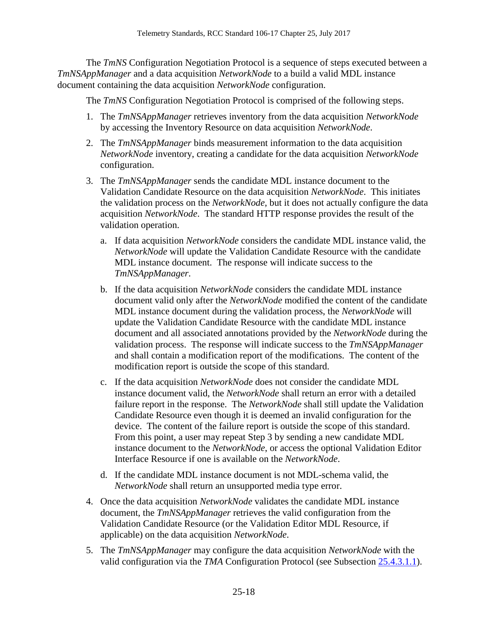The *TmNS* Configuration Negotiation Protocol is a sequence of steps executed between a *TmNSAppManager* and a data acquisition *NetworkNode* to a build a valid MDL instance document containing the data acquisition *NetworkNode* configuration.

The *TmNS* Configuration Negotiation Protocol is comprised of the following steps.

- 1. The *TmNSAppManager* retrieves inventory from the data acquisition *NetworkNode* by accessing the Inventory Resource on data acquisition *NetworkNode*.
- 2. The *TmNSAppManager* binds measurement information to the data acquisition *NetworkNode* inventory, creating a candidate for the data acquisition *NetworkNode* configuration.
- 3. The *TmNSAppManager* sends the candidate MDL instance document to the Validation Candidate Resource on the data acquisition *NetworkNode*. This initiates the validation process on the *NetworkNode*, but it does not actually configure the data acquisition *NetworkNode*. The standard HTTP response provides the result of the validation operation.
	- a. If data acquisition *NetworkNode* considers the candidate MDL instance valid*,* the *NetworkNode* will update the Validation Candidate Resource with the candidate MDL instance document. The response will indicate success to the *TmNSAppManager*.
	- b. If the data acquisition *NetworkNode* considers the candidate MDL instance document valid only after the *NetworkNode* modified the content of the candidate MDL instance document during the validation process, the *NetworkNode* will update the Validation Candidate Resource with the candidate MDL instance document and all associated annotations provided by the *NetworkNode* during the validation process. The response will indicate success to the *TmNSAppManager* and shall contain a modification report of the modifications. The content of the modification report is outside the scope of this standard.
	- c. If the data acquisition *NetworkNode* does not consider the candidate MDL instance document valid, the *NetworkNode* shall return an error with a detailed failure report in the response. The *NetworkNode* shall still update the Validation Candidate Resource even though it is deemed an invalid configuration for the device. The content of the failure report is outside the scope of this standard. From this point, a user may repeat Step 3 by sending a new candidate MDL instance document to the *NetworkNode*, or access the optional Validation Editor Interface Resource if one is available on the *NetworkNode*.
	- d. If the candidate MDL instance document is not MDL-schema valid, the *NetworkNode* shall return an unsupported media type error.
- 4. Once the data acquisition *NetworkNode* validates the candidate MDL instance document, the *TmNSAppManager* retrieves the valid configuration from the Validation Candidate Resource (or the Validation Editor MDL Resource, if applicable) on the data acquisition *NetworkNode*.
- 5. The *TmNSAppManager* may configure the data acquisition *NetworkNode* with the valid configuration via the *TMA* Configuration Protocol (see Subsection [25.4.3.1.1\)](#page-15-0).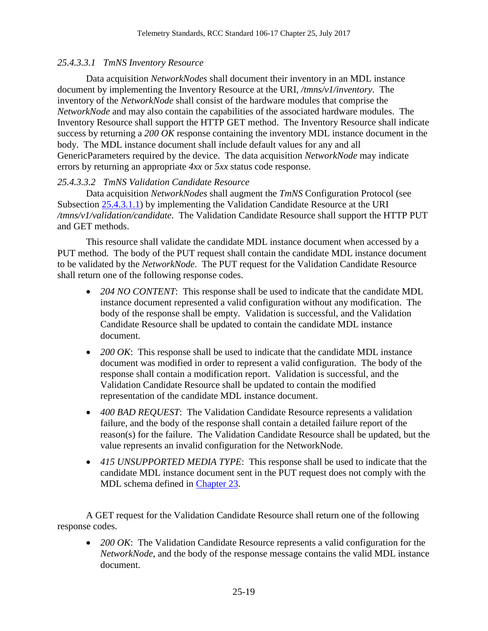### *25.4.3.3.1 TmNS Inventory Resource*

Data acquisition *NetworkNodes* shall document their inventory in an MDL instance document by implementing the Inventory Resource at the URI, */tmns/v1/inventory*. The inventory of the *NetworkNode* shall consist of the hardware modules that comprise the *NetworkNode* and may also contain the capabilities of the associated hardware modules. The Inventory Resource shall support the HTTP GET method. The Inventory Resource shall indicate success by returning a *200 OK* response containing the inventory MDL instance document in the body. The MDL instance document shall include default values for any and all GenericParameters required by the device. The data acquisition *NetworkNode* may indicate errors by returning an appropriate *4xx* or *5xx* status code response.

#### *25.4.3.3.2 TmNS Validation Candidate Resource*

Data acquisition *NetworkNodes* shall augment the *TmNS* Configuration Protocol (see Subsection [25.4.3.1.1\)](#page-15-0) by implementing the Validation Candidate Resource at the URI */tmns/v1/validation/candidate*. The Validation Candidate Resource shall support the HTTP PUT and GET methods.

This resource shall validate the candidate MDL instance document when accessed by a PUT method. The body of the PUT request shall contain the candidate MDL instance document to be validated by the *NetworkNode*. The PUT request for the Validation Candidate Resource shall return one of the following response codes.

- *204 NO CONTENT*: This response shall be used to indicate that the candidate MDL instance document represented a valid configuration without any modification. The body of the response shall be empty. Validation is successful, and the Validation Candidate Resource shall be updated to contain the candidate MDL instance document.
- *200 OK*: This response shall be used to indicate that the candidate MDL instance document was modified in order to represent a valid configuration. The body of the response shall contain a modification report. Validation is successful, and the Validation Candidate Resource shall be updated to contain the modified representation of the candidate MDL instance document.
- *400 BAD REQUEST*: The Validation Candidate Resource represents a validation failure, and the body of the response shall contain a detailed failure report of the reason(s) for the failure. The Validation Candidate Resource shall be updated, but the value represents an invalid configuration for the NetworkNode.
- *415 UNSUPPORTED MEDIA TYPE*: This response shall be used to indicate that the candidate MDL instance document sent in the PUT request does not comply with the MDL schema defined in [Chapter 23.](http://www.wsmr.army.mil/RCCsite/Documents/106-17_Telemetry_Standards/Chapter23.pdf)

A GET request for the Validation Candidate Resource shall return one of the following response codes.

• *200 OK*: The Validation Candidate Resource represents a valid configuration for the *NetworkNode*, and the body of the response message contains the valid MDL instance document.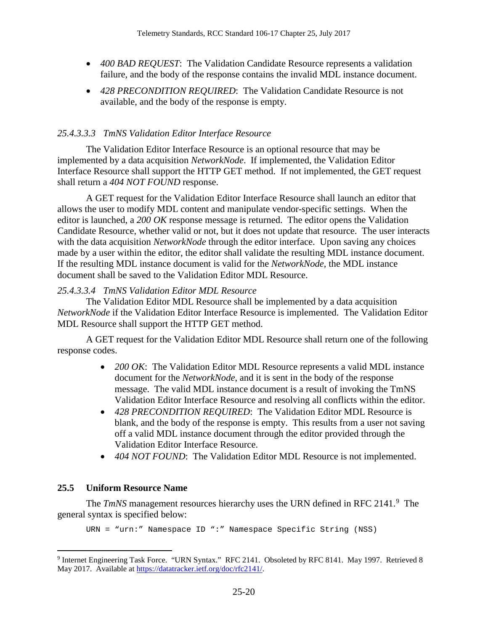- *400 BAD REQUEST*: The Validation Candidate Resource represents a validation failure, and the body of the response contains the invalid MDL instance document.
- *428 PRECONDITION REQUIRED*: The Validation Candidate Resource is not available, and the body of the response is empty.

#### *25.4.3.3.3 TmNS Validation Editor Interface Resource*

The Validation Editor Interface Resource is an optional resource that may be implemented by a data acquisition *NetworkNode*. If implemented, the Validation Editor Interface Resource shall support the HTTP GET method. If not implemented, the GET request shall return a *404 NOT FOUND* response.

A GET request for the Validation Editor Interface Resource shall launch an editor that allows the user to modify MDL content and manipulate vendor-specific settings. When the editor is launched, a *200 OK* response message is returned. The editor opens the Validation Candidate Resource, whether valid or not, but it does not update that resource. The user interacts with the data acquisition *NetworkNode* through the editor interface. Upon saving any choices made by a user within the editor, the editor shall validate the resulting MDL instance document. If the resulting MDL instance document is valid for the *NetworkNode*, the MDL instance document shall be saved to the Validation Editor MDL Resource.

#### *25.4.3.3.4 TmNS Validation Editor MDL Resource*

The Validation Editor MDL Resource shall be implemented by a data acquisition *NetworkNode* if the Validation Editor Interface Resource is implemented. The Validation Editor MDL Resource shall support the HTTP GET method.

A GET request for the Validation Editor MDL Resource shall return one of the following response codes.

- *200 OK*: The Validation Editor MDL Resource represents a valid MDL instance document for the *NetworkNode*, and it is sent in the body of the response message. The valid MDL instance document is a result of invoking the TmNS Validation Editor Interface Resource and resolving all conflicts within the editor.
- *428 PRECONDITION REQUIRED*: The Validation Editor MDL Resource is blank, and the body of the response is empty. This results from a user not saving off a valid MDL instance document through the editor provided through the Validation Editor Interface Resource.
- *404 NOT FOUND*: The Validation Editor MDL Resource is not implemented.

#### <span id="page-23-0"></span>**25.5 Uniform Resource Name**

The *TmNS* management resources hierarchy uses the URN defined in RFC 2141.<sup>[9](#page-23-1)</sup> The general syntax is specified below:

```
URN = "urn:" Namespace ID ":" Namespace Specific String (NSS)
```
<span id="page-23-1"></span><sup>&</sup>lt;sup>9</sup> Internet Engineering Task Force. "URN Syntax." RFC 2141. Obsoleted by RFC 8141. May 1997. Retrieved 8 May 2017. Available at [https://datatracker.ietf.org/doc/rfc2141/.](https://datatracker.ietf.org/doc/rfc2141/)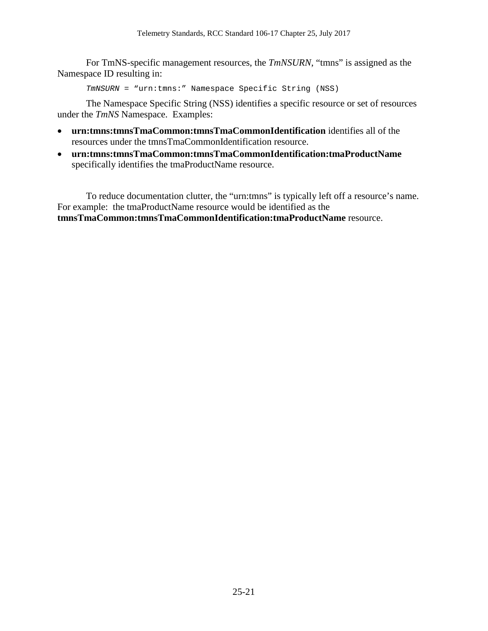For TmNS-specific management resources, the *TmNSURN*, "tmns" is assigned as the Namespace ID resulting in:

*TmNSURN* = "urn:tmns:" Namespace Specific String (NSS)

The Namespace Specific String (NSS) identifies a specific resource or set of resources under the *TmNS* Namespace. Examples:

- **urn:tmns:tmnsTmaCommon:tmnsTmaCommonIdentification** identifies all of the resources under the tmnsTmaCommonIdentification resource.
- **urn:tmns:tmnsTmaCommon:tmnsTmaCommonIdentification:tmaProductName** specifically identifies the tmaProductName resource.

To reduce documentation clutter, the "urn:tmns" is typically left off a resource's name. For example: the tmaProductName resource would be identified as the **tmnsTmaCommon:tmnsTmaCommonIdentification:tmaProductName** resource.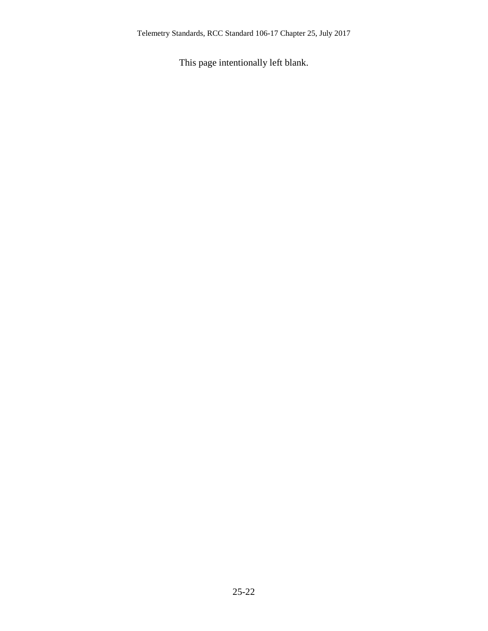This page intentionally left blank.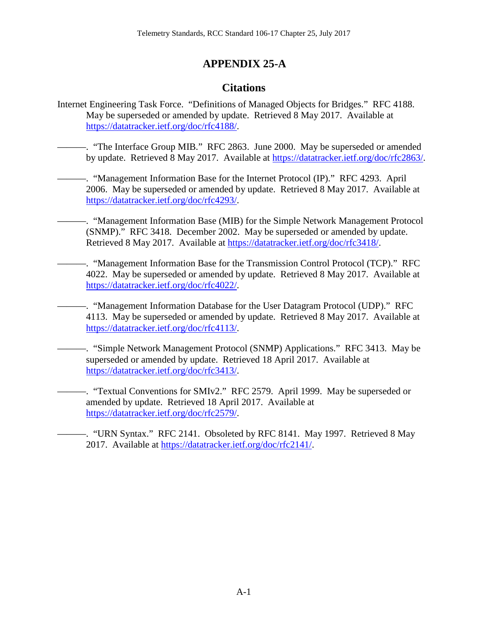## **APPENDIX 25-A**

## <span id="page-26-0"></span>**Citations**

Internet Engineering Task Force. "Definitions of Managed Objects for Bridges." RFC 4188. May be superseded or amended by update. Retrieved 8 May 2017. Available at [https://datatracker.ietf.org/doc/rfc4188/.](https://datatracker.ietf.org/doc/rfc4188/)

———. "The Interface Group MIB." RFC 2863. June 2000. May be superseded or amended by update. Retrieved 8 May 2017. Available at [https://datatracker.ietf.org/doc/rfc2863/.](https://datatracker.ietf.org/doc/rfc2863/)

———. "Management Information Base for the Internet Protocol (IP)." RFC 4293. April 2006. May be superseded or amended by update. Retrieved 8 May 2017. Available at [https://datatracker.ietf.org/doc/rfc4293/.](https://datatracker.ietf.org/doc/rfc4293/)

———. "Management Information Base (MIB) for the Simple Network Management Protocol (SNMP)." RFC 3418. December 2002. May be superseded or amended by update. Retrieved 8 May 2017. Available at [https://datatracker.ietf.org/doc/rfc3418/.](https://datatracker.ietf.org/doc/rfc3418/)

———. "Management Information Base for the Transmission Control Protocol (TCP)." RFC 4022. May be superseded or amended by update. Retrieved 8 May 2017. Available at [https://datatracker.ietf.org/doc/rfc4022/.](https://datatracker.ietf.org/doc/rfc4022/)

———. "Management Information Database for the User Datagram Protocol (UDP)." RFC 4113. May be superseded or amended by update. Retrieved 8 May 2017. Available at [https://datatracker.ietf.org/doc/rfc4113/.](https://datatracker.ietf.org/doc/rfc4113/)

———. "Simple Network Management Protocol (SNMP) Applications." RFC 3413. May be superseded or amended by update. Retrieved 18 April 2017. Available at [https://datatracker.ietf.org/doc/rfc3413/.](https://datatracker.ietf.org/doc/rfc3413/)

———. "Textual Conventions for SMIv2." RFC 2579. April 1999. May be superseded or amended by update. Retrieved 18 April 2017. Available at [https://datatracker.ietf.org/doc/rfc2579/.](https://datatracker.ietf.org/doc/rfc2579/)

-. "URN Syntax." RFC 2141. Obsoleted by RFC 8141. May 1997. Retrieved 8 May 2017. Available at [https://datatracker.ietf.org/doc/rfc2141/.](https://datatracker.ietf.org/doc/rfc2141/)